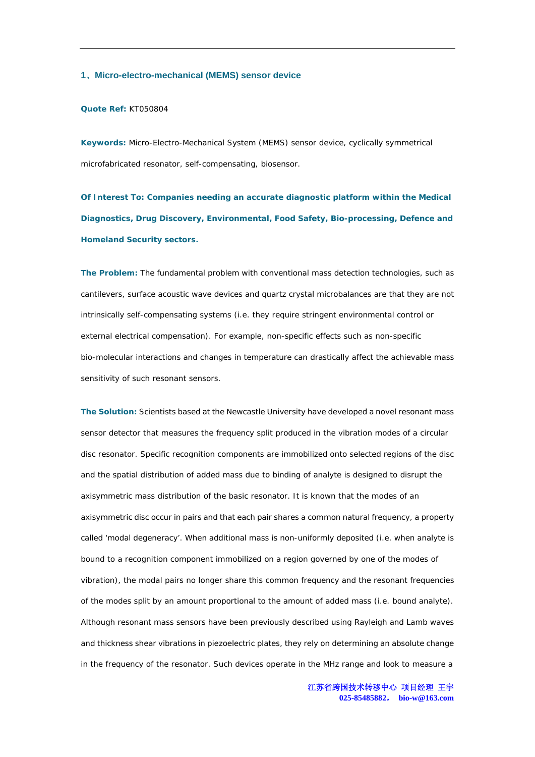#### **1**、**Micro-electro-mechanical (MEMS) sensor device**

#### **Quote Ref:** KT050804

**Keywords:** Micro-Electro-Mechanical System (MEMS) sensor device, cyclically symmetrical microfabricated resonator, self-compensating, biosensor.

**Of Interest To: Companies needing an accurate diagnostic platform within the Medical Diagnostics, Drug Discovery, Environmental, Food Safety, Bio-processing, Defence and Homeland Security sectors.** 

**The Problem:** The fundamental problem with conventional mass detection technologies, such as cantilevers, surface acoustic wave devices and quartz crystal microbalances are that they are not intrinsically self-compensating systems (i.e. they require stringent environmental control or external electrical compensation). For example, non-specific effects such as non-specific bio-molecular interactions and changes in temperature can drastically affect the achievable mass sensitivity of such resonant sensors.

**The Solution:** Scientists based at the Newcastle University have developed a novel resonant mass sensor detector that measures the frequency split produced in the vibration modes of a circular disc resonator. Specific recognition components are immobilized onto selected regions of the disc and the spatial distribution of added mass due to binding of analyte is designed to disrupt the axisymmetric mass distribution of the basic resonator. It is known that the modes of an axisymmetric disc occur in pairs and that each pair shares a common natural frequency, a property called 'modal degeneracy'. When additional mass is non-uniformly deposited (i.e. when analyte is bound to a recognition component immobilized on a region governed by one of the modes of vibration), the modal pairs no longer share this common frequency and the resonant frequencies of the modes split by an amount proportional to the amount of added mass (i.e. bound analyte). Although resonant mass sensors have been previously described using Rayleigh and Lamb waves and thickness shear vibrations in piezoelectric plates, they rely on determining an absolute change in the frequency of the resonator. Such devices operate in the MHz range and look to measure a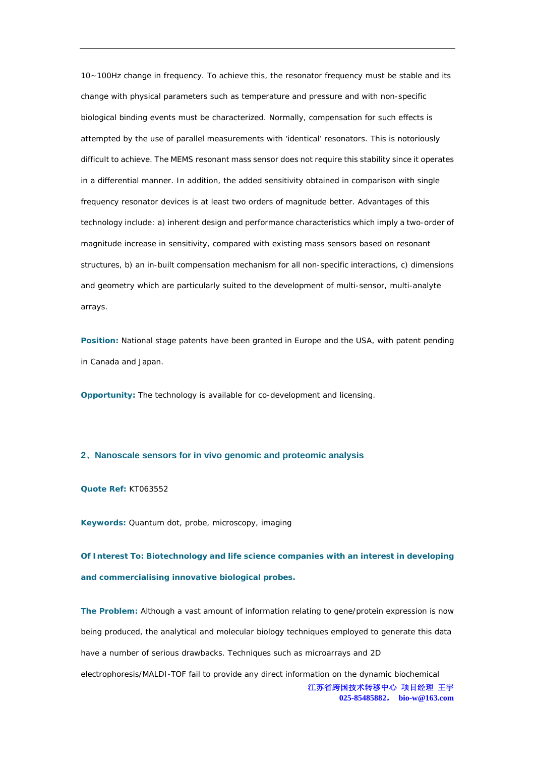10~100Hz change in frequency. To achieve this, the resonator frequency must be stable and its change with physical parameters such as temperature and pressure and with non-specific biological binding events must be characterized. Normally, compensation for such effects is attempted by the use of parallel measurements with 'identical' resonators. This is notoriously difficult to achieve. The MEMS resonant mass sensor does not require this stability since it operates in a differential manner. In addition, the added sensitivity obtained in comparison with single frequency resonator devices is at least two orders of magnitude better. Advantages of this technology include: a) inherent design and performance characteristics which imply a two-order of magnitude increase in sensitivity, compared with existing mass sensors based on resonant structures, b) an in-built compensation mechanism for all non-specific interactions, c) dimensions and geometry which are particularly suited to the development of multi-sensor, multi-analyte arrays.

**Position:** National stage patents have been granted in Europe and the USA, with patent pending in Canada and Japan.

**Opportunity:** The technology is available for co-development and licensing.

## **2**、**Nanoscale sensors for in vivo genomic and proteomic analysis**

**Quote Ref:** KT063552

**Keywords:** Quantum dot, probe, microscopy, imaging

**Of Interest To: Biotechnology and life science companies with an interest in developing and commercialising innovative biological probes.** 

江苏省跨国技术转移中心 项目经理 王宇 **025-85485882**, **bio-w@163.com The Problem:** Although a vast amount of information relating to gene/protein expression is now being produced, the analytical and molecular biology techniques employed to generate this data have a number of serious drawbacks. Techniques such as microarrays and 2D electrophoresis/MALDI-TOF fail to provide any direct information on the dynamic biochemical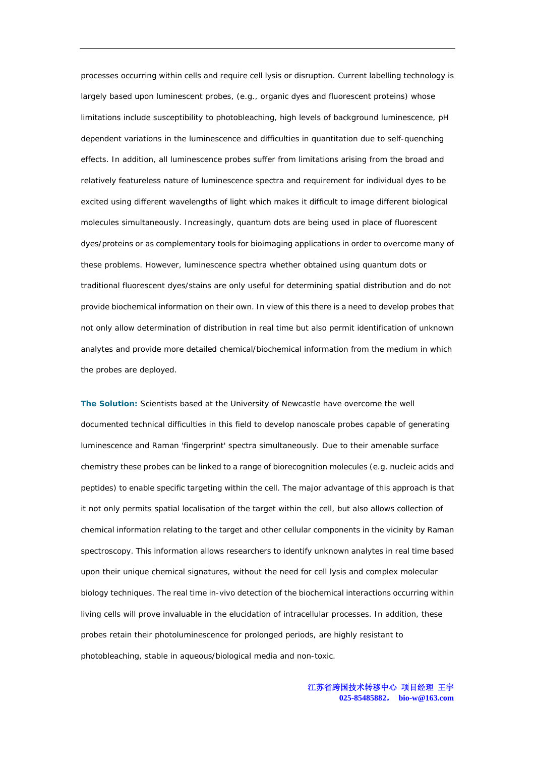processes occurring within cells and require cell lysis or disruption. Current labelling technology is largely based upon luminescent probes, (e.g., organic dyes and fluorescent proteins) whose limitations include susceptibility to photobleaching, high levels of background luminescence, pH dependent variations in the luminescence and difficulties in quantitation due to self-quenching effects. In addition, all luminescence probes suffer from limitations arising from the broad and relatively featureless nature of luminescence spectra and requirement for individual dyes to be excited using different wavelengths of light which makes it difficult to image different biological molecules simultaneously. Increasingly, quantum dots are being used in place of fluorescent dyes/proteins or as complementary tools for bioimaging applications in order to overcome many of these problems. However, luminescence spectra whether obtained using quantum dots or traditional fluorescent dyes/stains are only useful for determining spatial distribution and do not provide biochemical information on their own. In view of this there is a need to develop probes that not only allow determination of distribution in real time but also permit identification of unknown analytes and provide more detailed chemical/biochemical information from the medium in which the probes are deployed.

**The Solution:** Scientists based at the University of Newcastle have overcome the well documented technical difficulties in this field to develop nanoscale probes capable of generating luminescence and Raman 'fingerprint' spectra simultaneously. Due to their amenable surface chemistry these probes can be linked to a range of biorecognition molecules (e.g. nucleic acids and peptides) to enable specific targeting within the cell. The major advantage of this approach is that it not only permits spatial localisation of the target within the cell, but also allows collection of chemical information relating to the target and other cellular components in the vicinity by Raman spectroscopy. This information allows researchers to identify unknown analytes in real time based upon their unique chemical signatures, without the need for cell lysis and complex molecular biology techniques. The real time in-vivo detection of the biochemical interactions occurring within living cells will prove invaluable in the elucidation of intracellular processes. In addition, these probes retain their photoluminescence for prolonged periods, are highly resistant to photobleaching, stable in aqueous/biological media and non-toxic.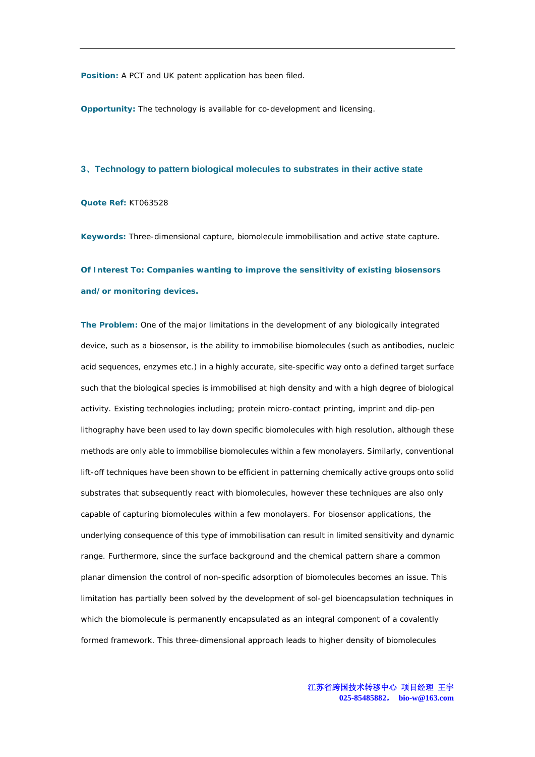**Position:** A PCT and UK patent application has been filed.

**Opportunity:** The technology is available for co-development and licensing.

## **3**、**Technology to pattern biological molecules to substrates in their active state**

**Quote Ref:** KT063528

**Keywords:** Three-dimensional capture, biomolecule immobilisation and active state capture.

**Of Interest To: Companies wanting to improve the sensitivity of existing biosensors and/or monitoring devices.** 

**The Problem:** One of the major limitations in the development of any biologically integrated device, such as a biosensor, is the ability to immobilise biomolecules (such as antibodies, nucleic acid sequences, enzymes etc.) in a highly accurate, site-specific way onto a defined target surface such that the biological species is immobilised at high density and with a high degree of biological activity. Existing technologies including; protein micro-contact printing, imprint and dip-pen lithography have been used to lay down specific biomolecules with high resolution, although these methods are only able to immobilise biomolecules within a few monolayers. Similarly, conventional lift-off techniques have been shown to be efficient in patterning chemically active groups onto solid substrates that subsequently react with biomolecules, however these techniques are also only capable of capturing biomolecules within a few monolayers. For biosensor applications, the underlying consequence of this type of immobilisation can result in limited sensitivity and dynamic range. Furthermore, since the surface background and the chemical pattern share a common planar dimension the control of non-specific adsorption of biomolecules becomes an issue. This limitation has partially been solved by the development of sol-gel bioencapsulation techniques in which the biomolecule is permanently encapsulated as an integral component of a covalently formed framework. This three-dimensional approach leads to higher density of biomolecules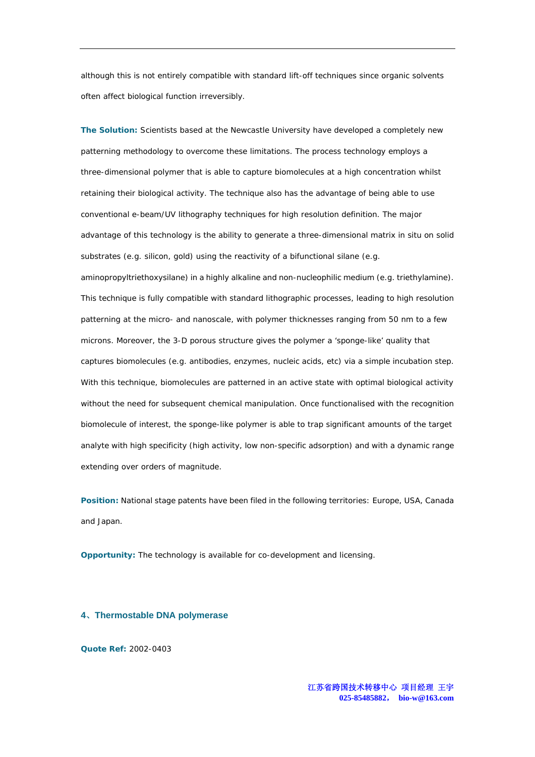although this is not entirely compatible with standard lift-off techniques since organic solvents often affect biological function irreversibly.

**The Solution:** Scientists based at the Newcastle University have developed a completely new patterning methodology to overcome these limitations. The process technology employs a three-dimensional polymer that is able to capture biomolecules at a high concentration whilst retaining their biological activity. The technique also has the advantage of being able to use conventional e-beam/UV lithography techniques for high resolution definition. The major advantage of this technology is the ability to generate a three-dimensional matrix in situ on solid substrates (e.g. silicon, gold) using the reactivity of a bifunctional silane (e.g. aminopropyltriethoxysilane) in a highly alkaline and non-nucleophilic medium (e.g. triethylamine). This technique is fully compatible with standard lithographic processes, leading to high resolution patterning at the micro- and nanoscale, with polymer thicknesses ranging from 50 nm to a few microns. Moreover, the 3-D porous structure gives the polymer a 'sponge-like' quality that captures biomolecules (e.g. antibodies, enzymes, nucleic acids, etc) via a simple incubation step. With this technique, biomolecules are patterned in an active state with optimal biological activity without the need for subsequent chemical manipulation. Once functionalised with the recognition biomolecule of interest, the sponge-like polymer is able to trap significant amounts of the target analyte with high specificity (high activity, low non-specific adsorption) and with a dynamic range extending over orders of magnitude.

**Position:** National stage patents have been filed in the following territories: Europe, USA, Canada and Japan.

**Opportunity:** The technology is available for co-development and licensing.

# **4**、**Thermostable DNA polymerase**

**Quote Ref:** 2002-0403